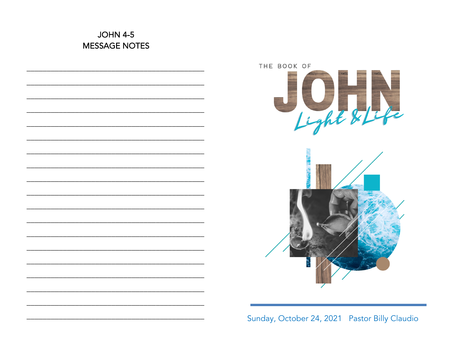# **JOHN 4-5 MESSAGE NOTES**



Sunday, October 24, 2021 Pastor Billy Claudio